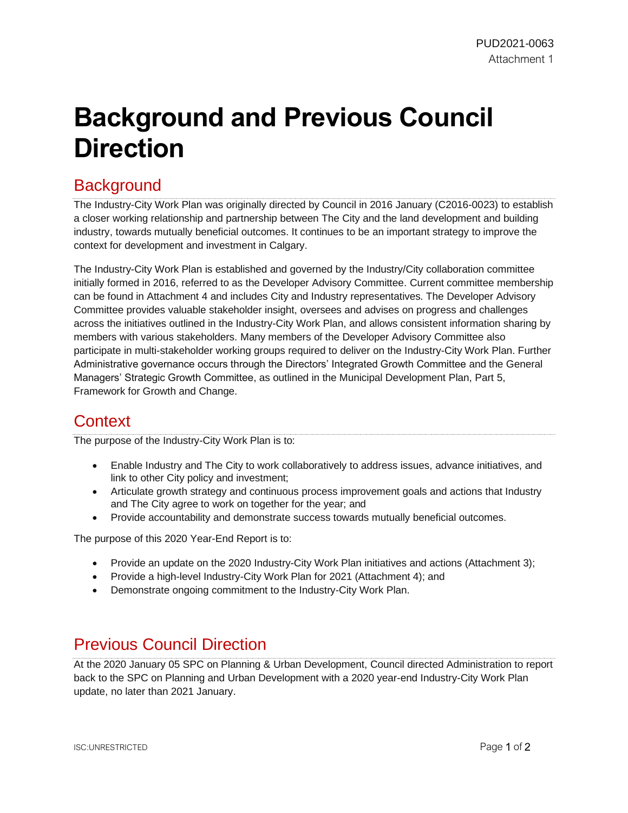## **Background and Previous Council Direction**

## **Background**

The Industry-City Work Plan was originally directed by Council in 2016 January (C2016-0023) to establish a closer working relationship and partnership between The City and the land development and building industry, towards mutually beneficial outcomes. It continues to be an important strategy to improve the context for development and investment in Calgary.

The Industry-City Work Plan is established and governed by the Industry/City collaboration committee initially formed in 2016, referred to as the Developer Advisory Committee. Current committee membership can be found in Attachment 4 and includes City and Industry representatives. The Developer Advisory Committee provides valuable stakeholder insight, oversees and advises on progress and challenges across the initiatives outlined in the Industry-City Work Plan, and allows consistent information sharing by members with various stakeholders. Many members of the Developer Advisory Committee also participate in multi-stakeholder working groups required to deliver on the Industry-City Work Plan. Further Administrative governance occurs through the Directors' Integrated Growth Committee and the General Managers' Strategic Growth Committee, as outlined in the Municipal Development Plan, Part 5, Framework for Growth and Change.

## **Context**

The purpose of the Industry-City Work Plan is to:

- Enable Industry and The City to work collaboratively to address issues, advance initiatives, and link to other City policy and investment;
- Articulate growth strategy and continuous process improvement goals and actions that Industry and The City agree to work on together for the year; and
- Provide accountability and demonstrate success towards mutually beneficial outcomes.

The purpose of this 2020 Year-End Report is to:

- Provide an update on the 2020 Industry-City Work Plan initiatives and actions (Attachment 3);
- Provide a high-level Industry-City Work Plan for 2021 (Attachment 4); and
- Demonstrate ongoing commitment to the Industry-City Work Plan.

## Previous Council Direction

At the 2020 January 05 SPC on Planning & Urban Development, Council directed Administration to report back to the SPC on Planning and Urban Development with a 2020 year-end Industry-City Work Plan update, no later than 2021 January.